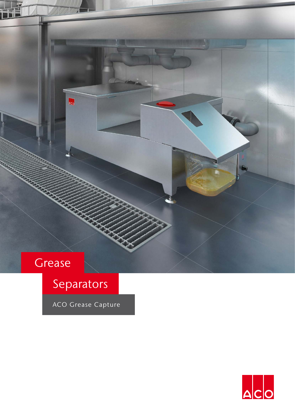## Grease

# Separators

Aco

ACO Grease Capture

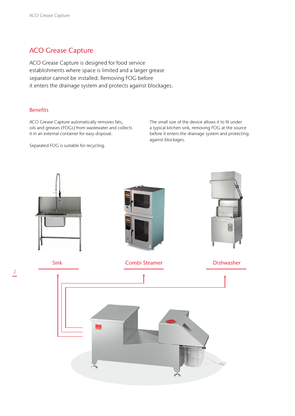### ACO Grease Capture

ACO Grease Capture is designed for food service establishments where space is limited and a larger grease separator cannot be installed. Removing FOG before it enters the drainage system and protects against blockages.

#### **Benefits**

ACO Grease Capture automatically removes fats, oils and greases (FOGs) from wastewater and collects it in an external container for easy disposal.

Separated FOG is suitable for recycling.

The small size of the device allows it to fit under a typical kitchen sink, removing FOG at the source before it enters the drainage system and protecting against blockages.

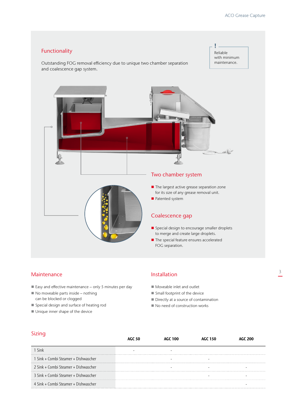

#### Maintenance

- $\blacksquare$  Easy and effective maintenance only 5 minutes per day
- $\blacksquare$  No moveable parts inside nothing can be blocked or clogged
- Special design and surface of heating rod
- $\blacksquare$  Unique inner shape of the device

#### Installation

- $\blacksquare$  Moveable inlet and outlet
- $\blacksquare$  Small footprint of the device
- Directly at a source of contamination
- $\blacksquare$  No need of construction works

#### Sizing

|                                      | AGC 100 | AGC 150 |  |
|--------------------------------------|---------|---------|--|
| 1 Sink                               |         |         |  |
| 1 Sink + Combi Steamer + Dishwascher |         |         |  |
| 2 Sink + Combi Steamer + Dishwascher |         |         |  |
| 3 Sink + Combi Steamer + Dishwascher |         |         |  |
| 4 Sink + Combi Steamer + Dishwascher |         |         |  |